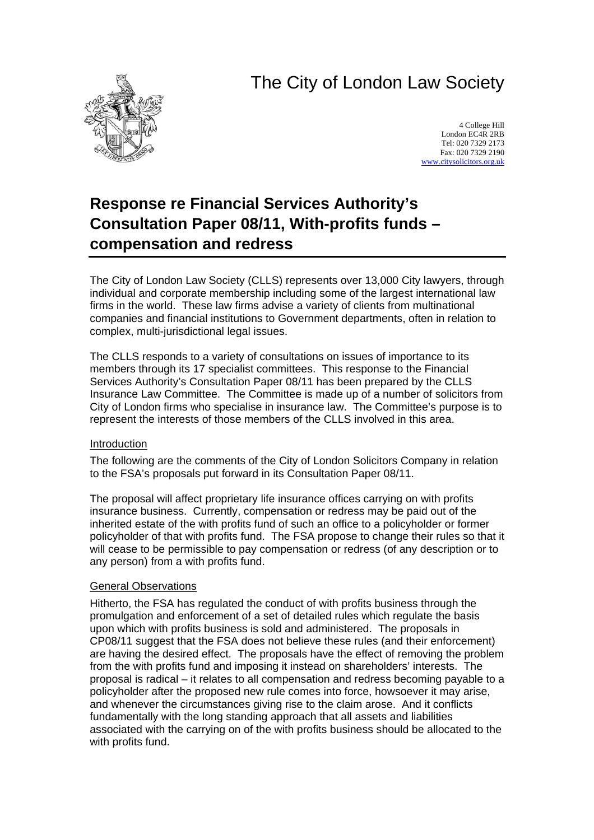# The City of London Law Society



4 College Hill London EC4R 2RB Tel: 020 7329 2173 Fax: 020 7329 2190 [www.citysolicitors.org.uk](http://www.citysolicitors.org.uk/)

## **Response re Financial Services Authority's Consultation Paper 08/11, With-profits funds – compensation and redress**

The City of London Law Society (CLLS) represents over 13,000 City lawyers, through individual and corporate membership including some of the largest international law firms in the world. These law firms advise a variety of clients from multinational companies and financial institutions to Government departments, often in relation to complex, multi-jurisdictional legal issues.

The CLLS responds to a variety of consultations on issues of importance to its members through its 17 specialist committees. This response to the Financial Services Authority's Consultation Paper 08/11 has been prepared by the CLLS Insurance Law Committee. The Committee is made up of a number of solicitors from City of London firms who specialise in insurance law. The Committee's purpose is to represent the interests of those members of the CLLS involved in this area.

## Introduction

The following are the comments of the City of London Solicitors Company in relation to the FSA's proposals put forward in its Consultation Paper 08/11.

The proposal will affect proprietary life insurance offices carrying on with profits insurance business. Currently, compensation or redress may be paid out of the inherited estate of the with profits fund of such an office to a policyholder or former policyholder of that with profits fund. The FSA propose to change their rules so that it will cease to be permissible to pay compensation or redress (of any description or to any person) from a with profits fund.

#### General Observations

Hitherto, the FSA has regulated the conduct of with profits business through the promulgation and enforcement of a set of detailed rules which regulate the basis upon which with profits business is sold and administered. The proposals in CP08/11 suggest that the FSA does not believe these rules (and their enforcement) are having the desired effect. The proposals have the effect of removing the problem from the with profits fund and imposing it instead on shareholders' interests. The proposal is radical – it relates to all compensation and redress becoming payable to a policyholder after the proposed new rule comes into force, howsoever it may arise, and whenever the circumstances giving rise to the claim arose. And it conflicts fundamentally with the long standing approach that all assets and liabilities associated with the carrying on of the with profits business should be allocated to the with profits fund.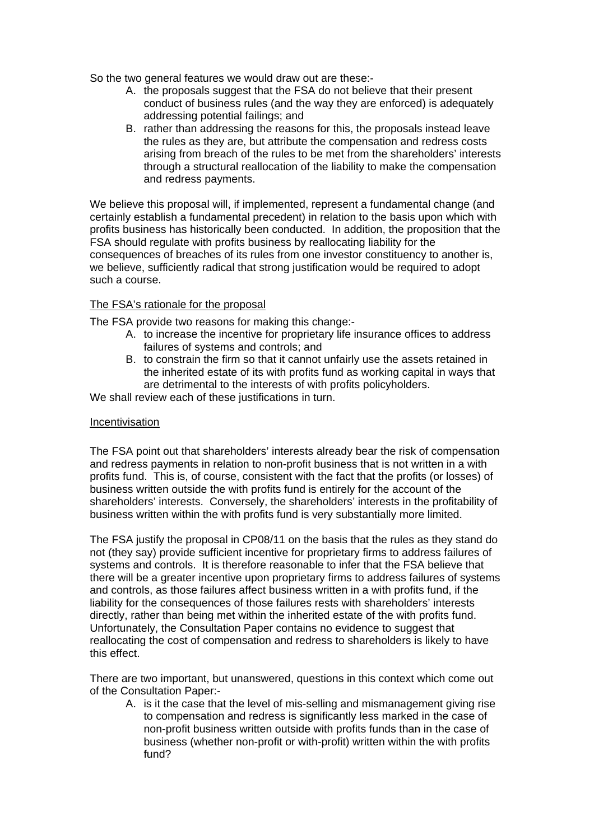So the two general features we would draw out are these:-

- A. the proposals suggest that the FSA do not believe that their present conduct of business rules (and the way they are enforced) is adequately addressing potential failings; and
- B. rather than addressing the reasons for this, the proposals instead leave the rules as they are, but attribute the compensation and redress costs arising from breach of the rules to be met from the shareholders' interests through a structural reallocation of the liability to make the compensation and redress payments.

We believe this proposal will, if implemented, represent a fundamental change (and certainly establish a fundamental precedent) in relation to the basis upon which with profits business has historically been conducted. In addition, the proposition that the FSA should regulate with profits business by reallocating liability for the consequences of breaches of its rules from one investor constituency to another is, we believe, sufficiently radical that strong justification would be required to adopt such a course.

#### The FSA's rationale for the proposal

The FSA provide two reasons for making this change:-

- A. to increase the incentive for proprietary life insurance offices to address failures of systems and controls; and
- B. to constrain the firm so that it cannot unfairly use the assets retained in the inherited estate of its with profits fund as working capital in ways that are detrimental to the interests of with profits policyholders.

We shall review each of these justifications in turn.

#### Incentivisation

The FSA point out that shareholders' interests already bear the risk of compensation and redress payments in relation to non-profit business that is not written in a with profits fund. This is, of course, consistent with the fact that the profits (or losses) of business written outside the with profits fund is entirely for the account of the shareholders' interests. Conversely, the shareholders' interests in the profitability of business written within the with profits fund is very substantially more limited.

The FSA justify the proposal in CP08/11 on the basis that the rules as they stand do not (they say) provide sufficient incentive for proprietary firms to address failures of systems and controls. It is therefore reasonable to infer that the FSA believe that there will be a greater incentive upon proprietary firms to address failures of systems and controls, as those failures affect business written in a with profits fund, if the liability for the consequences of those failures rests with shareholders' interests directly, rather than being met within the inherited estate of the with profits fund. Unfortunately, the Consultation Paper contains no evidence to suggest that reallocating the cost of compensation and redress to shareholders is likely to have this effect.

There are two important, but unanswered, questions in this context which come out of the Consultation Paper:-

A. is it the case that the level of mis-selling and mismanagement giving rise to compensation and redress is significantly less marked in the case of non-profit business written outside with profits funds than in the case of business (whether non-profit or with-profit) written within the with profits fund?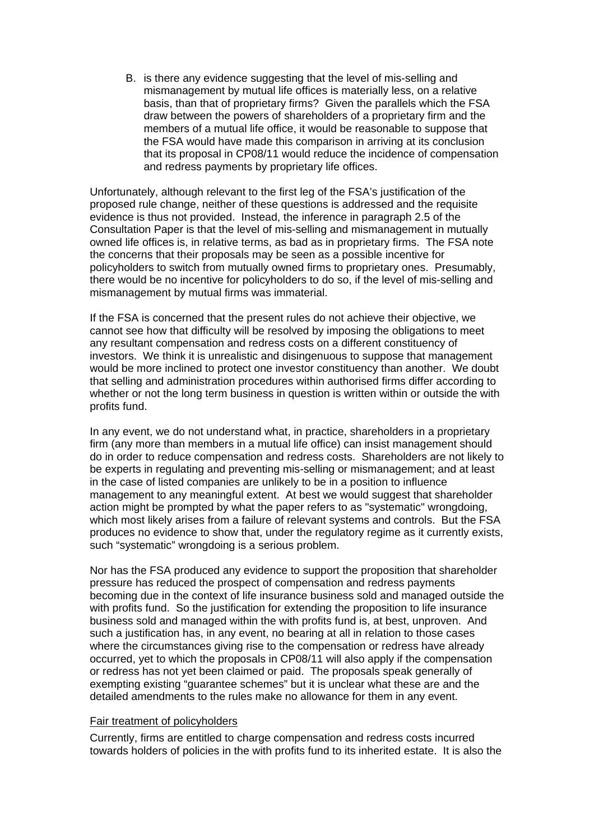B. is there any evidence suggesting that the level of mis-selling and mismanagement by mutual life offices is materially less, on a relative basis, than that of proprietary firms? Given the parallels which the FSA draw between the powers of shareholders of a proprietary firm and the members of a mutual life office, it would be reasonable to suppose that the FSA would have made this comparison in arriving at its conclusion that its proposal in CP08/11 would reduce the incidence of compensation and redress payments by proprietary life offices.

Unfortunately, although relevant to the first leg of the FSA's justification of the proposed rule change, neither of these questions is addressed and the requisite evidence is thus not provided. Instead, the inference in paragraph 2.5 of the Consultation Paper is that the level of mis-selling and mismanagement in mutually owned life offices is, in relative terms, as bad as in proprietary firms. The FSA note the concerns that their proposals may be seen as a possible incentive for policyholders to switch from mutually owned firms to proprietary ones. Presumably, there would be no incentive for policyholders to do so, if the level of mis-selling and mismanagement by mutual firms was immaterial.

If the FSA is concerned that the present rules do not achieve their objective, we cannot see how that difficulty will be resolved by imposing the obligations to meet any resultant compensation and redress costs on a different constituency of investors. We think it is unrealistic and disingenuous to suppose that management would be more inclined to protect one investor constituency than another. We doubt that selling and administration procedures within authorised firms differ according to whether or not the long term business in question is written within or outside the with profits fund.

In any event, we do not understand what, in practice, shareholders in a proprietary firm (any more than members in a mutual life office) can insist management should do in order to reduce compensation and redress costs. Shareholders are not likely to be experts in regulating and preventing mis-selling or mismanagement; and at least in the case of listed companies are unlikely to be in a position to influence management to any meaningful extent. At best we would suggest that shareholder action might be prompted by what the paper refers to as "systematic" wrongdoing, which most likely arises from a failure of relevant systems and controls. But the FSA produces no evidence to show that, under the regulatory regime as it currently exists, such "systematic" wrongdoing is a serious problem.

Nor has the FSA produced any evidence to support the proposition that shareholder pressure has reduced the prospect of compensation and redress payments becoming due in the context of life insurance business sold and managed outside the with profits fund. So the justification for extending the proposition to life insurance business sold and managed within the with profits fund is, at best, unproven. And such a justification has, in any event, no bearing at all in relation to those cases where the circumstances giving rise to the compensation or redress have already occurred, yet to which the proposals in CP08/11 will also apply if the compensation or redress has not yet been claimed or paid. The proposals speak generally of exempting existing "guarantee schemes" but it is unclear what these are and the detailed amendments to the rules make no allowance for them in any event.

#### Fair treatment of policyholders

Currently, firms are entitled to charge compensation and redress costs incurred towards holders of policies in the with profits fund to its inherited estate. It is also the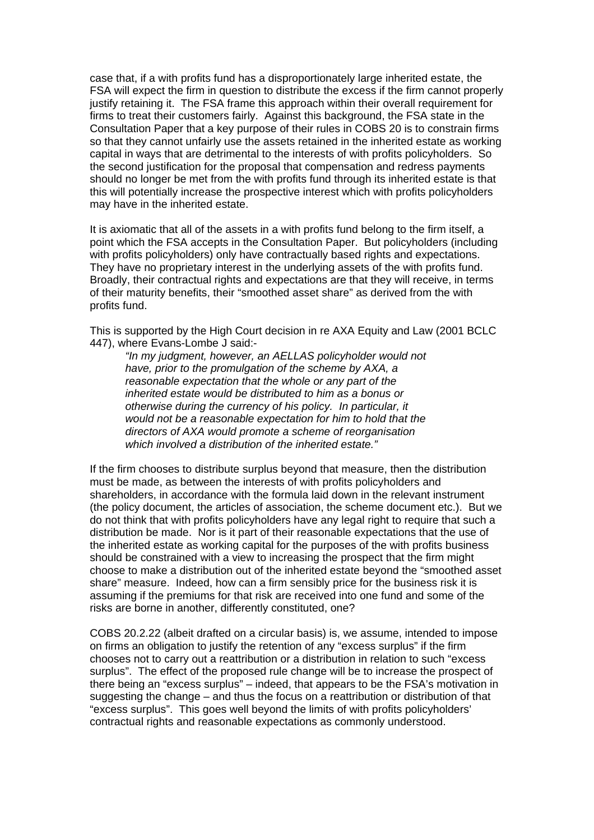case that, if a with profits fund has a disproportionately large inherited estate, the FSA will expect the firm in question to distribute the excess if the firm cannot properly justify retaining it. The FSA frame this approach within their overall requirement for firms to treat their customers fairly. Against this background, the FSA state in the Consultation Paper that a key purpose of their rules in COBS 20 is to constrain firms so that they cannot unfairly use the assets retained in the inherited estate as working capital in ways that are detrimental to the interests of with profits policyholders. So the second justification for the proposal that compensation and redress payments should no longer be met from the with profits fund through its inherited estate is that this will potentially increase the prospective interest which with profits policyholders may have in the inherited estate.

It is axiomatic that all of the assets in a with profits fund belong to the firm itself, a point which the FSA accepts in the Consultation Paper. But policyholders (including with profits policyholders) only have contractually based rights and expectations. They have no proprietary interest in the underlying assets of the with profits fund. Broadly, their contractual rights and expectations are that they will receive, in terms of their maturity benefits, their "smoothed asset share" as derived from the with profits fund.

This is supported by the High Court decision in re AXA Equity and Law (2001 BCLC 447), where Evans-Lombe J said:-

*"In my judgment, however, an AELLAS policyholder would not have, prior to the promulgation of the scheme by AXA, a reasonable expectation that the whole or any part of the inherited estate would be distributed to him as a bonus or otherwise during the currency of his policy. In particular, it would not be a reasonable expectation for him to hold that the directors of AXA would promote a scheme of reorganisation which involved a distribution of the inherited estate."* 

If the firm chooses to distribute surplus beyond that measure, then the distribution must be made, as between the interests of with profits policyholders and shareholders, in accordance with the formula laid down in the relevant instrument (the policy document, the articles of association, the scheme document etc.). But we do not think that with profits policyholders have any legal right to require that such a distribution be made. Nor is it part of their reasonable expectations that the use of the inherited estate as working capital for the purposes of the with profits business should be constrained with a view to increasing the prospect that the firm might choose to make a distribution out of the inherited estate beyond the "smoothed asset share" measure. Indeed, how can a firm sensibly price for the business risk it is assuming if the premiums for that risk are received into one fund and some of the risks are borne in another, differently constituted, one?

COBS 20.2.22 (albeit drafted on a circular basis) is, we assume, intended to impose on firms an obligation to justify the retention of any "excess surplus" if the firm chooses not to carry out a reattribution or a distribution in relation to such "excess surplus". The effect of the proposed rule change will be to increase the prospect of there being an "excess surplus" – indeed, that appears to be the FSA's motivation in suggesting the change – and thus the focus on a reattribution or distribution of that "excess surplus". This goes well beyond the limits of with profits policyholders' contractual rights and reasonable expectations as commonly understood.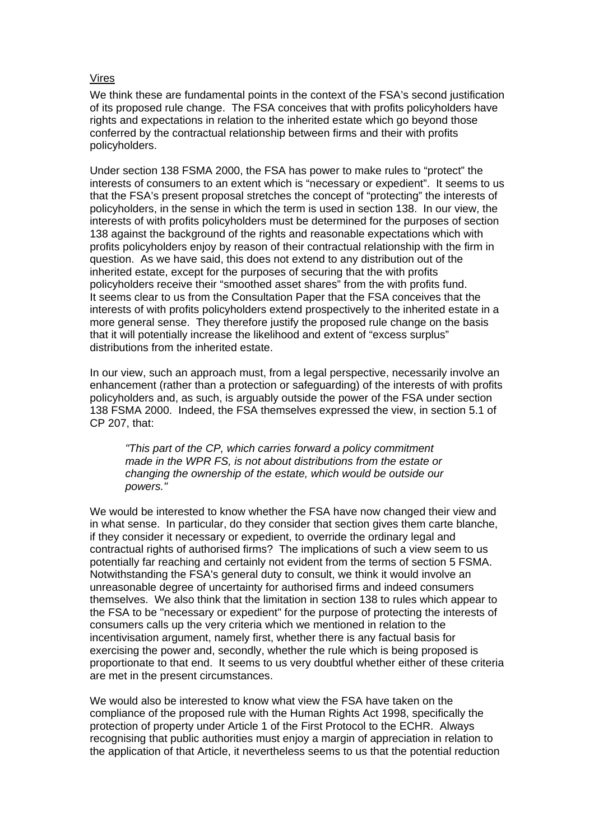#### Vires

We think these are fundamental points in the context of the FSA's second justification of its proposed rule change. The FSA conceives that with profits policyholders have rights and expectations in relation to the inherited estate which go beyond those conferred by the contractual relationship between firms and their with profits policyholders.

Under section 138 FSMA 2000, the FSA has power to make rules to "protect" the interests of consumers to an extent which is "necessary or expedient". It seems to us that the FSA's present proposal stretches the concept of "protecting" the interests of policyholders, in the sense in which the term is used in section 138. In our view, the interests of with profits policyholders must be determined for the purposes of section 138 against the background of the rights and reasonable expectations which with profits policyholders enjoy by reason of their contractual relationship with the firm in question. As we have said, this does not extend to any distribution out of the inherited estate, except for the purposes of securing that the with profits policyholders receive their "smoothed asset shares" from the with profits fund. It seems clear to us from the Consultation Paper that the FSA conceives that the interests of with profits policyholders extend prospectively to the inherited estate in a more general sense. They therefore justify the proposed rule change on the basis that it will potentially increase the likelihood and extent of "excess surplus" distributions from the inherited estate.

In our view, such an approach must, from a legal perspective, necessarily involve an enhancement (rather than a protection or safeguarding) of the interests of with profits policyholders and, as such, is arguably outside the power of the FSA under section 138 FSMA 2000. Indeed, the FSA themselves expressed the view, in section 5.1 of CP 207, that:

*"This part of the CP, which carries forward a policy commitment made in the WPR FS, is not about distributions from the estate or changing the ownership of the estate, which would be outside our powers."* 

We would be interested to know whether the FSA have now changed their view and in what sense. In particular, do they consider that section gives them carte blanche, if they consider it necessary or expedient, to override the ordinary legal and contractual rights of authorised firms? The implications of such a view seem to us potentially far reaching and certainly not evident from the terms of section 5 FSMA. Notwithstanding the FSA's general duty to consult, we think it would involve an unreasonable degree of uncertainty for authorised firms and indeed consumers themselves. We also think that the limitation in section 138 to rules which appear to the FSA to be "necessary or expedient" for the purpose of protecting the interests of consumers calls up the very criteria which we mentioned in relation to the incentivisation argument, namely first, whether there is any factual basis for exercising the power and, secondly, whether the rule which is being proposed is proportionate to that end. It seems to us very doubtful whether either of these criteria are met in the present circumstances.

We would also be interested to know what view the FSA have taken on the compliance of the proposed rule with the Human Rights Act 1998, specifically the protection of property under Article 1 of the First Protocol to the ECHR. Always recognising that public authorities must enjoy a margin of appreciation in relation to the application of that Article, it nevertheless seems to us that the potential reduction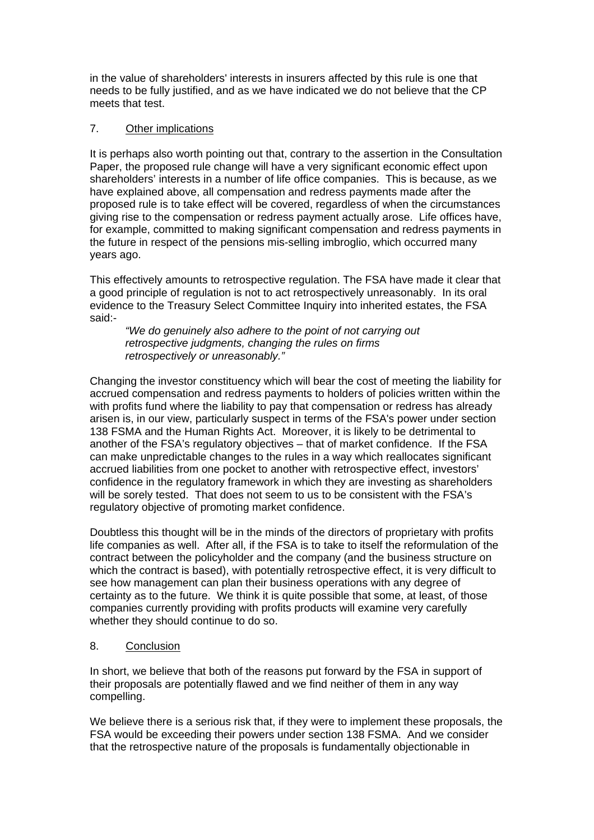in the value of shareholders' interests in insurers affected by this rule is one that needs to be fully justified, and as we have indicated we do not believe that the CP meets that test.

## 7. Other implications

It is perhaps also worth pointing out that, contrary to the assertion in the Consultation Paper, the proposed rule change will have a very significant economic effect upon shareholders' interests in a number of life office companies. This is because, as we have explained above, all compensation and redress payments made after the proposed rule is to take effect will be covered, regardless of when the circumstances giving rise to the compensation or redress payment actually arose. Life offices have, for example, committed to making significant compensation and redress payments in the future in respect of the pensions mis-selling imbroglio, which occurred many years ago.

This effectively amounts to retrospective regulation. The FSA have made it clear that a good principle of regulation is not to act retrospectively unreasonably. In its oral evidence to the Treasury Select Committee Inquiry into inherited estates, the FSA said:-

*"We do genuinely also adhere to the point of not carrying out retrospective judgments, changing the rules on firms retrospectively or unreasonably."* 

Changing the investor constituency which will bear the cost of meeting the liability for accrued compensation and redress payments to holders of policies written within the with profits fund where the liability to pay that compensation or redress has already arisen is, in our view, particularly suspect in terms of the FSA's power under section 138 FSMA and the Human Rights Act. Moreover, it is likely to be detrimental to another of the FSA's regulatory objectives – that of market confidence. If the FSA can make unpredictable changes to the rules in a way which reallocates significant accrued liabilities from one pocket to another with retrospective effect, investors' confidence in the regulatory framework in which they are investing as shareholders will be sorely tested. That does not seem to us to be consistent with the FSA's regulatory objective of promoting market confidence.

Doubtless this thought will be in the minds of the directors of proprietary with profits life companies as well. After all, if the FSA is to take to itself the reformulation of the contract between the policyholder and the company (and the business structure on which the contract is based), with potentially retrospective effect, it is very difficult to see how management can plan their business operations with any degree of certainty as to the future. We think it is quite possible that some, at least, of those companies currently providing with profits products will examine very carefully whether they should continue to do so.

## 8. Conclusion

In short, we believe that both of the reasons put forward by the FSA in support of their proposals are potentially flawed and we find neither of them in any way compelling.

We believe there is a serious risk that, if they were to implement these proposals, the FSA would be exceeding their powers under section 138 FSMA. And we consider that the retrospective nature of the proposals is fundamentally objectionable in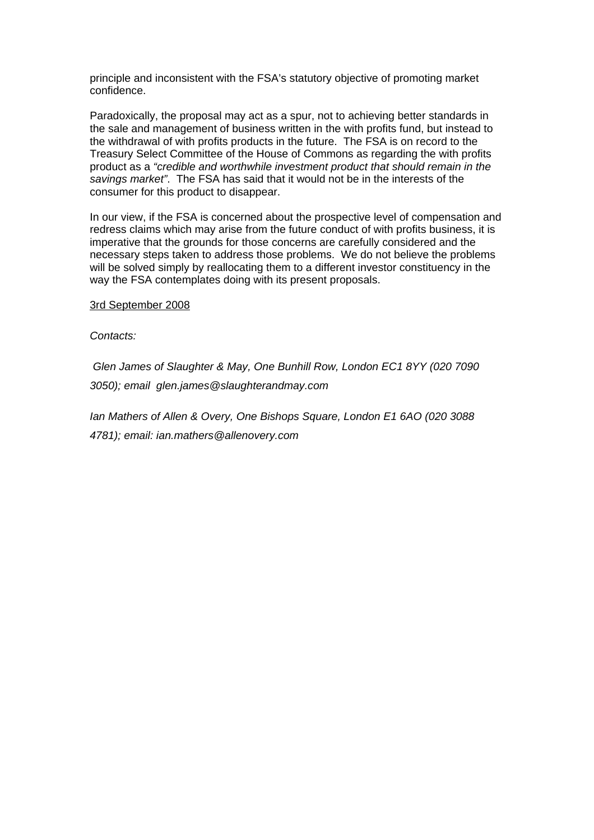principle and inconsistent with the FSA's statutory objective of promoting market confidence.

Paradoxically, the proposal may act as a spur, not to achieving better standards in the sale and management of business written in the with profits fund, but instead to the withdrawal of with profits products in the future. The FSA is on record to the Treasury Select Committee of the House of Commons as regarding the with profits product as a *"credible and worthwhile investment product that should remain in the savings market"*. The FSA has said that it would not be in the interests of the consumer for this product to disappear.

In our view, if the FSA is concerned about the prospective level of compensation and redress claims which may arise from the future conduct of with profits business, it is imperative that the grounds for those concerns are carefully considered and the necessary steps taken to address those problems. We do not believe the problems will be solved simply by reallocating them to a different investor constituency in the way the FSA contemplates doing with its present proposals.

3rd September 2008

*Contacts:* 

 *Glen James of Slaughter & May, One Bunhill Row, London EC1 8YY (020 7090 3050); email glen.james@slaughterandmay.com* 

*Ian Mathers of Allen & Overy, One Bishops Square, London E1 6AO (020 3088 4781); email: ian.mathers@allenovery.com*